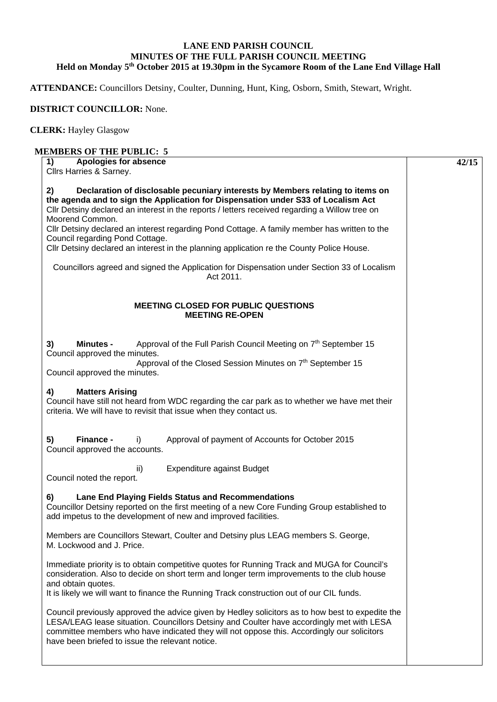## **LANE END PARISH COUNCIL MINUTES OF THE FULL PARISH COUNCIL MEETING Held on Monday 5th October 2015 at 19.30pm in the Sycamore Room of the Lane End Village Hall**

**ATTENDANCE:** Councillors Detsiny, Coulter, Dunning, Hunt, King, Osborn, Smith, Stewart, Wright.

## **DISTRICT COUNCILLOR:** None.

## **CLERK:** Hayley Glasgow

## **MEMBERS OF THE PUBLIC: 5**

| Apologies for absence<br>1)                                                                                                                                                                                                                                                                                                                    | 42/15 |
|------------------------------------------------------------------------------------------------------------------------------------------------------------------------------------------------------------------------------------------------------------------------------------------------------------------------------------------------|-------|
| Cllrs Harries & Sarney.                                                                                                                                                                                                                                                                                                                        |       |
| 2)<br>Declaration of disclosable pecuniary interests by Members relating to items on<br>the agenda and to sign the Application for Dispensation under S33 of Localism Act<br>Cllr Detsiny declared an interest in the reports / letters received regarding a Willow tree on<br>Moorend Common.                                                 |       |
| Cllr Detsiny declared an interest regarding Pond Cottage. A family member has written to the                                                                                                                                                                                                                                                   |       |
| Council regarding Pond Cottage.                                                                                                                                                                                                                                                                                                                |       |
| Cllr Detsiny declared an interest in the planning application re the County Police House.                                                                                                                                                                                                                                                      |       |
| Councillors agreed and signed the Application for Dispensation under Section 33 of Localism<br>Act 2011.                                                                                                                                                                                                                                       |       |
| <b>MEETING CLOSED FOR PUBLIC QUESTIONS</b><br><b>MEETING RE-OPEN</b>                                                                                                                                                                                                                                                                           |       |
| Approval of the Full Parish Council Meeting on 7 <sup>th</sup> September 15<br>3)<br><b>Minutes -</b><br>Council approved the minutes.                                                                                                                                                                                                         |       |
| Approval of the Closed Session Minutes on 7th September 15<br>Council approved the minutes.                                                                                                                                                                                                                                                    |       |
| 4)<br><b>Matters Arising</b><br>Council have still not heard from WDC regarding the car park as to whether we have met their<br>criteria. We will have to revisit that issue when they contact us.                                                                                                                                             |       |
| Finance -<br>5)<br>Approval of payment of Accounts for October 2015<br>i)<br>Council approved the accounts.                                                                                                                                                                                                                                    |       |
| Expenditure against Budget<br>ii)<br>Council noted the report.                                                                                                                                                                                                                                                                                 |       |
| Lane End Playing Fields Status and Recommendations<br>6)<br>Councillor Detsiny reported on the first meeting of a new Core Funding Group established to<br>add impetus to the development of new and improved facilities.                                                                                                                      |       |
| Members are Councillors Stewart, Coulter and Detsiny plus LEAG members S. George,<br>M. Lockwood and J. Price.                                                                                                                                                                                                                                 |       |
| Immediate priority is to obtain competitive quotes for Running Track and MUGA for Council's<br>consideration. Also to decide on short term and longer term improvements to the club house<br>and obtain quotes.<br>It is likely we will want to finance the Running Track construction out of our CIL funds.                                   |       |
| Council previously approved the advice given by Hedley solicitors as to how best to expedite the<br>LESA/LEAG lease situation. Councillors Detsiny and Coulter have accordingly met with LESA<br>committee members who have indicated they will not oppose this. Accordingly our solicitors<br>have been briefed to issue the relevant notice. |       |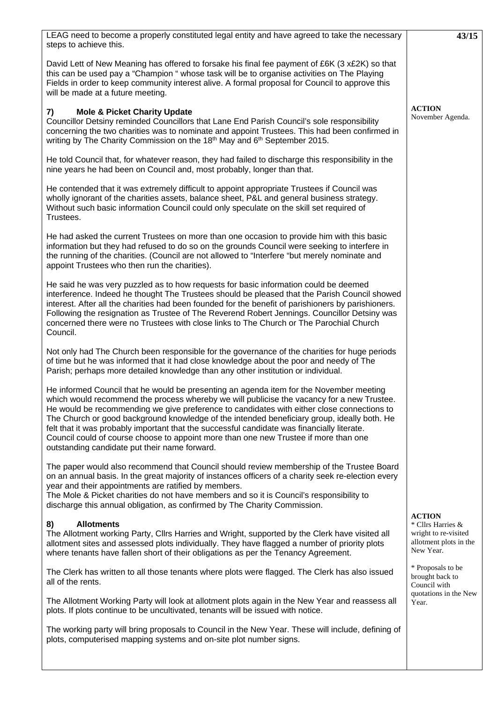| LEAG need to become a properly constituted legal entity and have agreed to take the necessary<br>steps to achieve this.                                                                                                                                                                                                                                                                                                                                                                                                                                                                                                    | 43/15                                                                                             |
|----------------------------------------------------------------------------------------------------------------------------------------------------------------------------------------------------------------------------------------------------------------------------------------------------------------------------------------------------------------------------------------------------------------------------------------------------------------------------------------------------------------------------------------------------------------------------------------------------------------------------|---------------------------------------------------------------------------------------------------|
| David Lett of New Meaning has offered to forsake his final fee payment of £6K (3 x£2K) so that<br>this can be used pay a "Champion " whose task will be to organise activities on The Playing<br>Fields in order to keep community interest alive. A formal proposal for Council to approve this<br>will be made at a future meeting.                                                                                                                                                                                                                                                                                      |                                                                                                   |
| <b>Mole &amp; Picket Charity Update</b><br>7)<br>Councillor Detsiny reminded Councillors that Lane End Parish Council's sole responsibility<br>concerning the two charities was to nominate and appoint Trustees. This had been confirmed in<br>writing by The Charity Commission on the 18 <sup>th</sup> May and 6 <sup>th</sup> September 2015.                                                                                                                                                                                                                                                                          | <b>ACTION</b><br>November Agenda.                                                                 |
| He told Council that, for whatever reason, they had failed to discharge this responsibility in the<br>nine years he had been on Council and, most probably, longer than that.                                                                                                                                                                                                                                                                                                                                                                                                                                              |                                                                                                   |
| He contended that it was extremely difficult to appoint appropriate Trustees if Council was<br>wholly ignorant of the charities assets, balance sheet, P&L and general business strategy.<br>Without such basic information Council could only speculate on the skill set required of<br>Trustees.                                                                                                                                                                                                                                                                                                                         |                                                                                                   |
| He had asked the current Trustees on more than one occasion to provide him with this basic<br>information but they had refused to do so on the grounds Council were seeking to interfere in<br>the running of the charities. (Council are not allowed to "Interfere "but merely nominate and<br>appoint Trustees who then run the charities).                                                                                                                                                                                                                                                                              |                                                                                                   |
| He said he was very puzzled as to how requests for basic information could be deemed<br>interference. Indeed he thought The Trustees should be pleased that the Parish Council showed<br>interest. After all the charities had been founded for the benefit of parishioners by parishioners.<br>Following the resignation as Trustee of The Reverend Robert Jennings. Councillor Detsiny was<br>concerned there were no Trustees with close links to The Church or The Parochial Church<br>Council.                                                                                                                        |                                                                                                   |
| Not only had The Church been responsible for the governance of the charities for huge periods<br>of time but he was informed that it had close knowledge about the poor and needy of The<br>Parish; perhaps more detailed knowledge than any other institution or individual.                                                                                                                                                                                                                                                                                                                                              |                                                                                                   |
| He informed Council that he would be presenting an agenda item for the November meeting<br>which would recommend the process whereby we will publicise the vacancy for a new Trustee.<br>He would be recommending we give preference to candidates with either close connections to<br>The Church or good background knowledge of the intended beneficiary group, ideally both. He<br>felt that it was probably important that the successful candidate was financially literate.<br>Council could of course choose to appoint more than one new Trustee if more than one<br>outstanding candidate put their name forward. |                                                                                                   |
| The paper would also recommend that Council should review membership of the Trustee Board<br>on an annual basis. In the great majority of instances officers of a charity seek re-election every<br>year and their appointments are ratified by members.<br>The Mole & Picket charities do not have members and so it is Council's responsibility to<br>discharge this annual obligation, as confirmed by The Charity Commission.                                                                                                                                                                                          |                                                                                                   |
| <b>Allotments</b><br>8)<br>The Allotment working Party, Cllrs Harries and Wright, supported by the Clerk have visited all<br>allotment sites and assessed plots individually. They have flagged a number of priority plots<br>where tenants have fallen short of their obligations as per the Tenancy Agreement.                                                                                                                                                                                                                                                                                                           | <b>ACTION</b><br>* Cllrs Harries &<br>wright to re-visited<br>allotment plots in the<br>New Year. |
| The Clerk has written to all those tenants where plots were flagged. The Clerk has also issued<br>all of the rents.                                                                                                                                                                                                                                                                                                                                                                                                                                                                                                        | * Proposals to be<br>brought back to<br>Council with                                              |
| The Allotment Working Party will look at allotment plots again in the New Year and reassess all<br>plots. If plots continue to be uncultivated, tenants will be issued with notice.                                                                                                                                                                                                                                                                                                                                                                                                                                        | quotations in the New<br>Year.                                                                    |
| The working party will bring proposals to Council in the New Year. These will include, defining of<br>plots, computerised mapping systems and on-site plot number signs.                                                                                                                                                                                                                                                                                                                                                                                                                                                   |                                                                                                   |
|                                                                                                                                                                                                                                                                                                                                                                                                                                                                                                                                                                                                                            |                                                                                                   |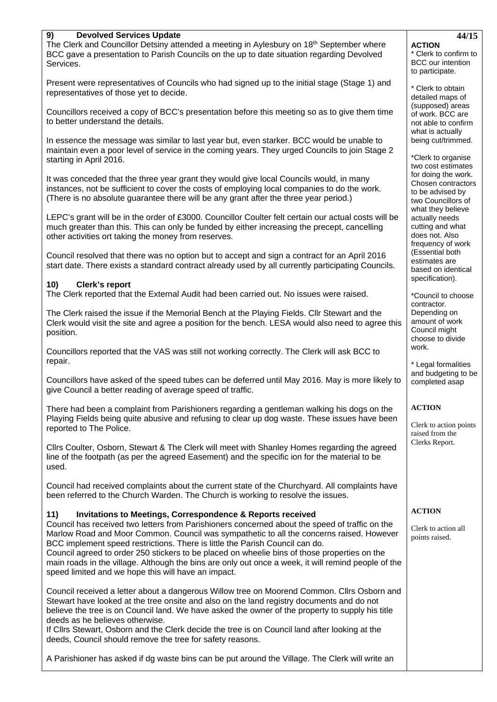| 9)<br><b>Devolved Services Update</b>                                                                                                                                                                                                                                                                                                                                                                                                                                                                                                    | 44/15                                                                                          |
|------------------------------------------------------------------------------------------------------------------------------------------------------------------------------------------------------------------------------------------------------------------------------------------------------------------------------------------------------------------------------------------------------------------------------------------------------------------------------------------------------------------------------------------|------------------------------------------------------------------------------------------------|
| The Clerk and Councillor Detsiny attended a meeting in Aylesbury on $18th$ September where<br>BCC gave a presentation to Parish Councils on the up to date situation regarding Devolved<br>Services.                                                                                                                                                                                                                                                                                                                                     | <b>ACTION</b><br>* Clerk to confirm to<br><b>BCC</b> our intention<br>to participate.          |
| Present were representatives of Councils who had signed up to the initial stage (Stage 1) and<br>representatives of those yet to decide.                                                                                                                                                                                                                                                                                                                                                                                                 | * Clerk to obtain<br>detailed maps of                                                          |
| Councillors received a copy of BCC's presentation before this meeting so as to give them time<br>to better understand the details.                                                                                                                                                                                                                                                                                                                                                                                                       | (supposed) areas<br>of work. BCC are<br>not able to confirm                                    |
| In essence the message was similar to last year but, even starker. BCC would be unable to<br>maintain even a poor level of service in the coming years. They urged Councils to join Stage 2<br>starting in April 2016.                                                                                                                                                                                                                                                                                                                   | what is actually<br>being cut/trimmed.<br>*Clerk to organise<br>two cost estimates             |
| It was conceded that the three year grant they would give local Councils would, in many<br>instances, not be sufficient to cover the costs of employing local companies to do the work.<br>(There is no absolute guarantee there will be any grant after the three year period.)                                                                                                                                                                                                                                                         | for doing the work.<br>Chosen contractors<br>to be advised by<br>two Councillors of            |
| LEPC's grant will be in the order of £3000. Councillor Coulter felt certain our actual costs will be<br>much greater than this. This can only be funded by either increasing the precept, cancelling<br>other activities ort taking the money from reserves.                                                                                                                                                                                                                                                                             | what they believe<br>actually needs<br>cutting and what<br>does not. Also<br>frequency of work |
| Council resolved that there was no option but to accept and sign a contract for an April 2016<br>start date. There exists a standard contract already used by all currently participating Councils.                                                                                                                                                                                                                                                                                                                                      | (Essential both<br>estimates are<br>based on identical<br>specification).                      |
| 10)<br><b>Clerk's report</b><br>The Clerk reported that the External Audit had been carried out. No issues were raised.                                                                                                                                                                                                                                                                                                                                                                                                                  | *Council to choose                                                                             |
| The Clerk raised the issue if the Memorial Bench at the Playing Fields. Cllr Stewart and the<br>Clerk would visit the site and agree a position for the bench. LESA would also need to agree this<br>position.                                                                                                                                                                                                                                                                                                                           | contractor.<br>Depending on<br>amount of work<br>Council might<br>choose to divide             |
| Councillors reported that the VAS was still not working correctly. The Clerk will ask BCC to<br>repair.                                                                                                                                                                                                                                                                                                                                                                                                                                  | work.<br>* Legal formalities                                                                   |
| Councillors have asked of the speed tubes can be deferred until May 2016. May is more likely to<br>give Council a better reading of average speed of traffic.                                                                                                                                                                                                                                                                                                                                                                            | and budgeting to be<br>completed asap                                                          |
| There had been a complaint from Parishioners regarding a gentleman walking his dogs on the<br>Playing Fields being quite abusive and refusing to clear up dog waste. These issues have been<br>reported to The Police.                                                                                                                                                                                                                                                                                                                   | <b>ACTION</b><br>Clerk to action points<br>raised from the                                     |
| Cllrs Coulter, Osborn, Stewart & The Clerk will meet with Shanley Homes regarding the agreed<br>line of the footpath (as per the agreed Easement) and the specific ion for the material to be<br>used.                                                                                                                                                                                                                                                                                                                                   | Clerks Report.                                                                                 |
| Council had received complaints about the current state of the Churchyard. All complaints have<br>been referred to the Church Warden. The Church is working to resolve the issues.                                                                                                                                                                                                                                                                                                                                                       |                                                                                                |
| 11)<br><b>Invitations to Meetings, Correspondence &amp; Reports received</b>                                                                                                                                                                                                                                                                                                                                                                                                                                                             | <b>ACTION</b>                                                                                  |
| Council has received two letters from Parishioners concerned about the speed of traffic on the<br>Marlow Road and Moor Common. Council was sympathetic to all the concerns raised. However<br>BCC implement speed restrictions. There is little the Parish Council can do.<br>Council agreed to order 250 stickers to be placed on wheelie bins of those properties on the<br>main roads in the village. Although the bins are only out once a week, it will remind people of the<br>speed limited and we hope this will have an impact. | Clerk to action all<br>points raised.                                                          |
| Council received a letter about a dangerous Willow tree on Moorend Common. Cllrs Osborn and<br>Stewart have looked at the tree onsite and also on the land registry documents and do not<br>believe the tree is on Council land. We have asked the owner of the property to supply his title<br>deeds as he believes otherwise.                                                                                                                                                                                                          |                                                                                                |
| If Clirs Stewart, Osborn and the Clerk decide the tree is on Council land after looking at the<br>deeds, Council should remove the tree for safety reasons.                                                                                                                                                                                                                                                                                                                                                                              |                                                                                                |

A Parishioner has asked if dg waste bins can be put around the Village. The Clerk will write an